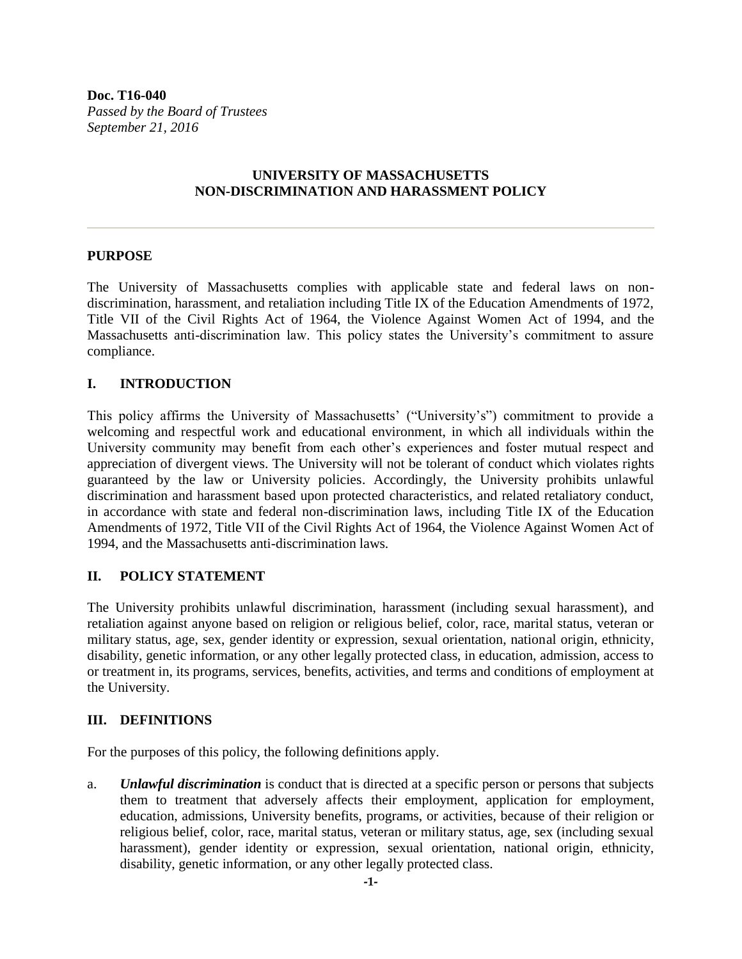**Doc. T16-040** *Passed by the Board of Trustees September 21, 2016*

# **UNIVERSITY OF MASSACHUSETTS NON-DISCRIMINATION AND HARASSMENT POLICY**

#### **PURPOSE**

The University of Massachusetts complies with applicable state and federal laws on nondiscrimination, harassment, and retaliation including Title IX of the Education Amendments of 1972, Title VII of the Civil Rights Act of 1964, the Violence Against Women Act of 1994, and the Massachusetts anti-discrimination law. This policy states the University's commitment to assure compliance.

### **I. INTRODUCTION**

This policy affirms the University of Massachusetts' ("University's") commitment to provide a welcoming and respectful work and educational environment, in which all individuals within the University community may benefit from each other's experiences and foster mutual respect and appreciation of divergent views. The University will not be tolerant of conduct which violates rights guaranteed by the law or University policies. Accordingly, the University prohibits unlawful discrimination and harassment based upon protected characteristics, and related retaliatory conduct, in accordance with state and federal non-discrimination laws, including Title IX of the Education Amendments of 1972, Title VII of the Civil Rights Act of 1964, the Violence Against Women Act of 1994, and the Massachusetts anti-discrimination laws.

### **II. POLICY STATEMENT**

The University prohibits unlawful discrimination, harassment (including sexual harassment), and retaliation against anyone based on religion or religious belief, color, race, marital status, veteran or military status, age, sex, gender identity or expression, sexual orientation, national origin, ethnicity, disability, genetic information, or any other legally protected class, in education, admission, access to or treatment in, its programs, services, benefits, activities, and terms and conditions of employment at the University.

### **III. DEFINITIONS**

For the purposes of this policy, the following definitions apply.

a. *Unlawful discrimination* is conduct that is directed at a specific person or persons that subjects them to treatment that adversely affects their employment, application for employment, education, admissions, University benefits, programs, or activities, because of their religion or religious belief, color, race, marital status, veteran or military status, age, sex (including sexual harassment), gender identity or expression, sexual orientation, national origin, ethnicity, disability, genetic information, or any other legally protected class.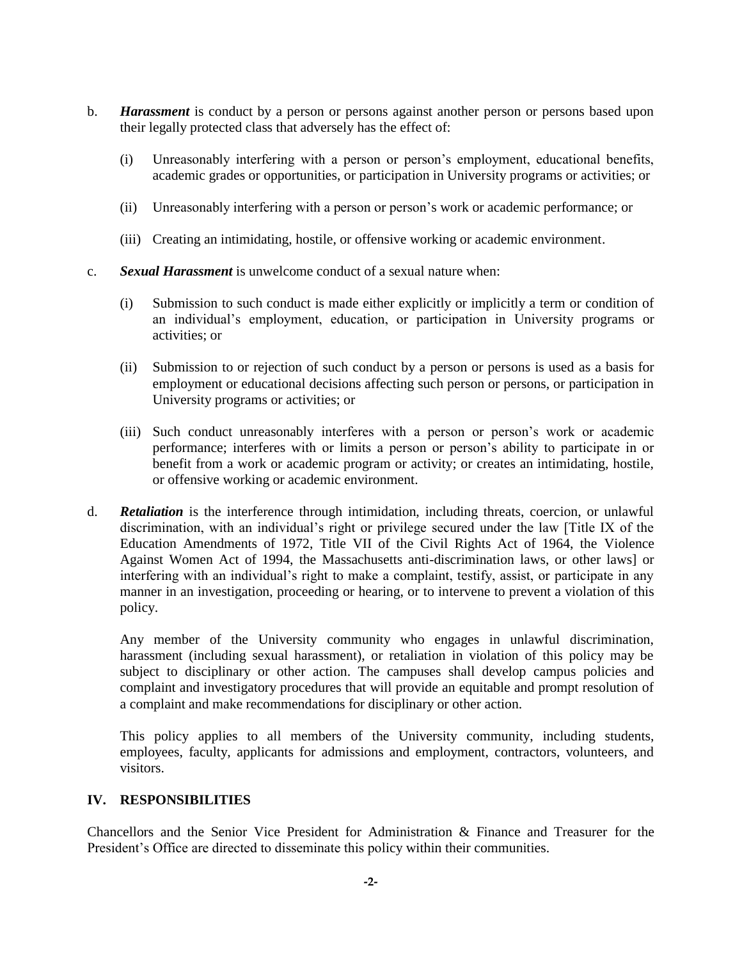- b. *Harassment* is conduct by a person or persons against another person or persons based upon their legally protected class that adversely has the effect of:
	- (i) Unreasonably interfering with a person or person's employment, educational benefits, academic grades or opportunities, or participation in University programs or activities; or
	- (ii) Unreasonably interfering with a person or person's work or academic performance; or
	- (iii) Creating an intimidating, hostile, or offensive working or academic environment.
- c. *Sexual Harassment* is unwelcome conduct of a sexual nature when:
	- (i) Submission to such conduct is made either explicitly or implicitly a term or condition of an individual's employment, education, or participation in University programs or activities; or
	- (ii) Submission to or rejection of such conduct by a person or persons is used as a basis for employment or educational decisions affecting such person or persons, or participation in University programs or activities; or
	- (iii) Such conduct unreasonably interferes with a person or person's work or academic performance; interferes with or limits a person or person's ability to participate in or benefit from a work or academic program or activity; or creates an intimidating, hostile, or offensive working or academic environment.
- d. *Retaliation* is the interference through intimidation, including threats, coercion, or unlawful discrimination, with an individual's right or privilege secured under the law [Title IX of the Education Amendments of 1972, Title VII of the Civil Rights Act of 1964, the Violence Against Women Act of 1994, the Massachusetts anti-discrimination laws, or other laws] or interfering with an individual's right to make a complaint, testify, assist, or participate in any manner in an investigation, proceeding or hearing, or to intervene to prevent a violation of this policy.

Any member of the University community who engages in unlawful discrimination, harassment (including sexual harassment), or retaliation in violation of this policy may be subject to disciplinary or other action. The campuses shall develop campus policies and complaint and investigatory procedures that will provide an equitable and prompt resolution of a complaint and make recommendations for disciplinary or other action.

This policy applies to all members of the University community, including students, employees, faculty, applicants for admissions and employment, contractors, volunteers, and visitors.

# **IV. RESPONSIBILITIES**

Chancellors and the Senior Vice President for Administration & Finance and Treasurer for the President's Office are directed to disseminate this policy within their communities.